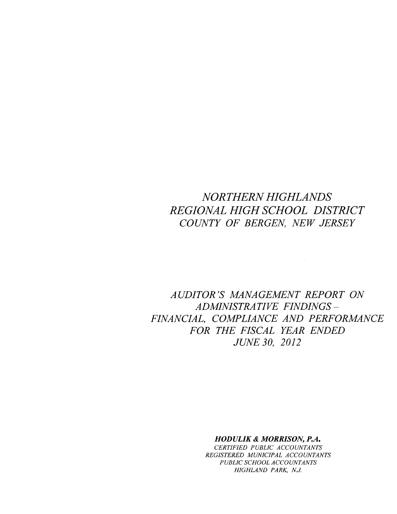# *NORTHERN HIGHLANDS REGIONAL HIGH SCHOOL DISTRICT COUNTY OF BERGEN, NEW JERSEY*

*AUDITOR'S MANAGEMENT REPORT ON ADMINISTRATIVE FINDINGS-FINANCIAL, COMPLIANCE AND PERFORMANCE FOR THE FISCAL YEAR ENDED JUNE 30, 2012*

# *HODULIK* & *MORRISON, P.A.*

*CERTIFIED PUBLIC ACCOUNTANTS REGISTERED MUNICIPAL ACCOUNTANTS PUBLIC SCHOOL ACCOUNTANTS HIGHLAND PARK, N.J.*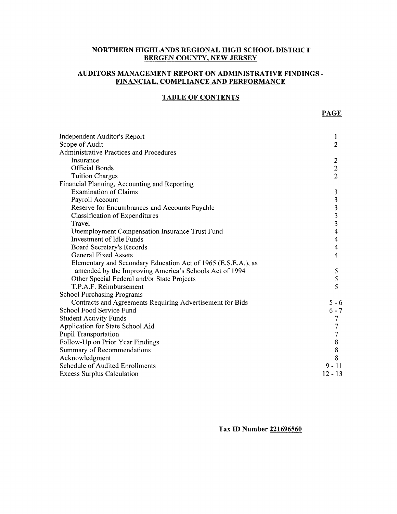#### **NORTHERN HIGHLANDS REGIONAL HIGH SCHOOL DISTRICT BERGEN COUNTY, NEW JERSEY**

# **AUDITORS MANAGEMENT REPORT ON ADMINISTRATIVE FINDINGS-FINANCIAL, COMPLIANCE AND PERFORMANCE**

# **TABLE OF CONTENTS**

| Independent Auditor's Report                                  | $\bf{l}$                |
|---------------------------------------------------------------|-------------------------|
| Scope of Audit                                                | $\overline{2}$          |
| Administrative Practices and Procedures                       |                         |
| Insurance                                                     | $\overline{c}$          |
| <b>Official Bonds</b>                                         | $\overline{c}$          |
| <b>Tuition Charges</b>                                        | $\overline{2}$          |
| Financial Planning, Accounting and Reporting                  |                         |
| <b>Examination of Claims</b>                                  | 3                       |
| Payroll Account                                               | $\overline{\mathbf{3}}$ |
| Reserve for Encumbrances and Accounts Payable                 | $\overline{\mathbf{3}}$ |
| Classification of Expenditures                                | $\overline{\mathbf{3}}$ |
| Travel                                                        | $\overline{\mathbf{3}}$ |
| <b>Unemployment Compensation Insurance Trust Fund</b>         | 4                       |
| Investment of Idle Funds                                      | 4                       |
| Board Secretary's Records                                     | 4                       |
| <b>General Fixed Assets</b>                                   | 4                       |
| Elementary and Secondary Education Act of 1965 (E.S.E.A.), as |                         |
| amended by the Improving America's Schools Act of 1994        | 5                       |
| Other Special Federal and/or State Projects                   | 5                       |
| T.P.A.F. Reimbursement                                        | 5                       |
| <b>School Purchasing Programs</b>                             |                         |
| Contracts and Agreements Requiring Advertisement for Bids     | $5 - 6$                 |
| School Food Service Fund                                      | $6 - 7$                 |
| <b>Student Activity Funds</b>                                 | 7                       |
| Application for State School Aid                              | 7                       |
| <b>Pupil Transportation</b>                                   | 7                       |
| Follow-Up on Prior Year Findings                              | $8\,$                   |
| Summary of Recommendations                                    | $\bf 8$                 |
| Acknowledgment                                                | 8                       |
| <b>Schedule of Audited Enrollments</b>                        | $9 - 11$                |
| <b>Excess Surplus Calculation</b>                             | $12 - 13$               |
|                                                               |                         |

**Tax ID Number 221696560**

 $\Delta \sim 10$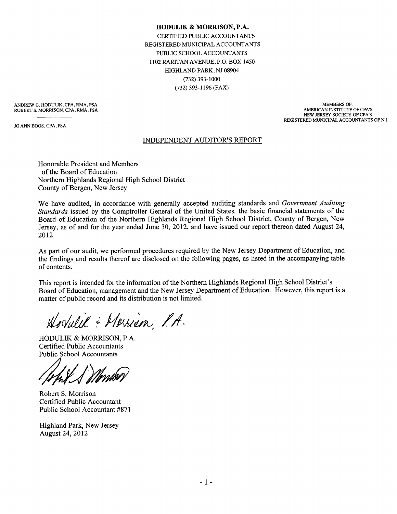**HODULIK & MORRISON,P.A.** CERTIFIED PUBLIC ACCOUNTANTS REGISTERED MUNICIPAL ACCOUNTANTS PUBLIC SCHOOL ACCOUNTANTS 1102 RARITAN AVENUE, P.O. BOX 1450 HIGHLAND PARK, NJ 08904 (732) 393-1000 (732) 393-1196 (FAX)

ANDREW G. HODULIK, CPA, RMA, PSA ROBERT S. MORRISON, CPA, RMA, PSA

JO ANN BOOS, CPA, PSA

MEMBERS OF: AMERICAN INSTITUTE OF CPA'S NEW JERSEY SOCIEfY OF CPA'S REGISTERED MUNICIPAL ACCOUNTANTS OF NJ.

#### INDEPENDENT AUDITOR'S REPORT

Honorable President and Members of the Board of Education Northern Highlands Regional High School District County of Bergen, New Jersey

We have audited, in accordance with generally accepted auditing standards and *Government Auditing Standards* issued by the Comptroller General of the United States, the basic financial statements of the Board of Education of the Northern Highlands Regional High School District, County of Bergen, New Jersey, as of and for the year ended June 30, 2012, and have issued our report thereon dated August 24, 2012

As part of our audit, we performed procedures required by the New Jersey Department of Education, and the findings and results thereof are disclosed on the following pages, as listed in the accompanying table of contents.

This report is intended for the information of the Northern Highlands Regional High School District's Board of Education, management and the New Jersey Department of Education. However, this report is a matter of public record and its distribution is not limited.

Hodulik : Merrian, P.A.

HODULIK & MORRISON, P.A. Certified Public Accountants

Public School Accountants *\$i!~*

Robert S. Morrison Certified Public Accountant Public School Accountant #871

Highland Park, New Jersey August 24, 2012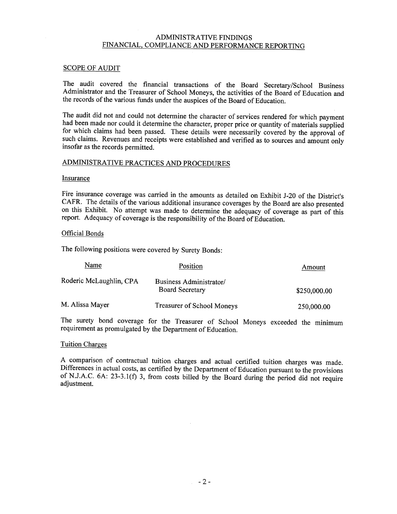#### ADMINISTRATIVE FINDINGS FINANCIAL, COMPLIANCE AND PERFORMANCE REPORTING

### SCOPE OF AUDIT

The audit covered the financial transactions of the Board Secretary/School Business Administrator and the Treasurer of School Moneys, the activities of the Board of Education and the records of the various funds under the auspices of the Board of Education.

The audit did not and could not determine the character of services rendered for which payment had been made nor could it determine the character, proper price or quantity of materials supplied for which claims had been passed. These details were necessarily covered by the approval of such claims. Revenues and receipts were established and verified as to sources and amount only insofar as the records permitted.

# ADMINISTRATIVE PRACTICES AND PROCEDURES

#### Insurance

Fire insurance coverage was carried in the amounts as detailed on Exhibit J-20 of the District's CAFR. The details of the various additional insurance coverages by the Board are also presented on this Exhibit. No attempt was made to determine the adequacy of coverage as part of this report. Adequacy of coverage is the responsibility of the Board of Education.

#### Official Bonds

The following positions were covered by Surety Bonds:

| Name                    | <b>Position</b>                                   | Amount       |
|-------------------------|---------------------------------------------------|--------------|
| Roderic McLaughlin, CPA | Business Administrator/<br><b>Board Secretary</b> | \$250,000.00 |
| M. Alissa Mayer         | <b>Treasurer of School Moneys</b>                 | 250,000.00   |

The surety bond coverage for the Treasurer of School Moneys exceeded the minimum requirement as promulgated by the Department of Education.

#### Tuition Charges

A comparison of contractual tuition charges and actual certified tuition charges was made. Differences in actual costs, as certified by the Department of Education pursuant to the provisions of N.J.A.C. 6A: 23-3.1(f) 3, from costs billed by the Board during the period did not require adjustment.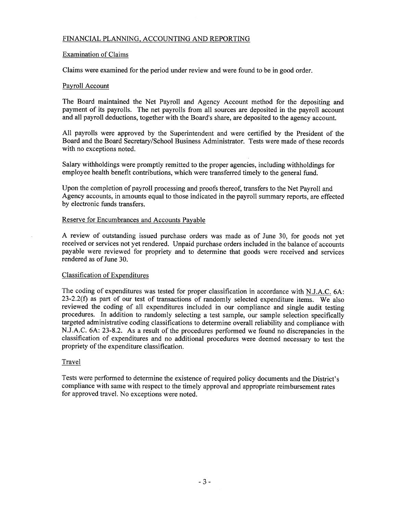# FINANCIAL PLANNING, ACCOUNTING AND REPORTING

#### Examination of Claims

Claims were examined for the period under review and were found to be in good order.

#### Payroll Account

The Board maintained the Net Payroll and Agency Account method for the depositing and payment of its payrolls. The net payrolls from all sources are deposited in the payroll account and all payroll deductions, together with the Board's share, are deposited to the agency account.

All payrolls were approved by the Superintendent and were certified by the President of the Board and the Board Secretary/School Business Administrator. Tests were made of these records with no exceptions noted.

Salary withholdings were promptly remitted to the proper agencies, including withholdings for employee health benefit contributions, which were transferred timely to the general fund.

Upon the completion of payroll processing and proofs thereof, transfers to the Net Payroll and Agency accounts, in amounts equal to those indicated in the payroll summary reports, are effected by electronic funds transfers.

#### Reserve for Encumbrances and Accounts Payable

A review of outstanding issued purchase orders was made as of June 30, for goods not yet received or services not yet rendered. Unpaid purchase orders included in the balance of accounts payable were reviewed for propriety and to determine that goods were received and services rendered as of June 30.

### Classification of Expenditures

The coding of expenditures was tested for proper classification in accordance with NJ.A.C. 6A: 23-2.2(f) as part of our test of transactions of randomly selected expenditure items. We also reviewed the coding of all expenditures included in our compliance and single audit testing procedures. In addition to randomly selecting a test sample, our sample selection specifically targeted administrative coding classifications to determine overall reliability and compliance with N.J.A.C. 6A: 23-8.2. As a result of the procedures performed we found no discrepancies in the classification of expenditures and no additional procedures were deemed necessary to test the propriety of the expenditure classification.

#### **Travel**

Tests were performed to determine the existence of required policy documents and the District's compliance with same with respect to the timely approval and appropriate reimbursement rates for approved travel. No exceptions were noted.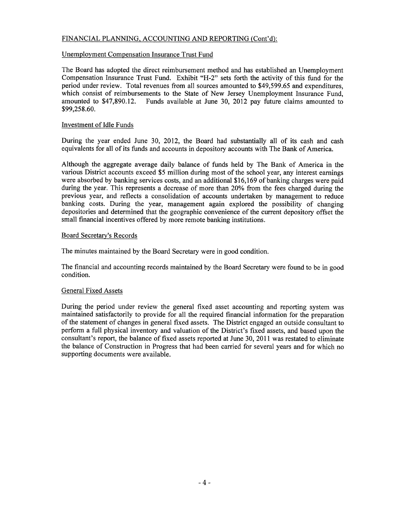# FINANCIAL PLANNING, ACCOUNTING AND REPORTING (Cont'd):

#### Unemployment Compensation Insurance Trust Fund

The Board has adopted the direct reimbursement method and has established an Unemployment Compensation Insurance Trust Fund. Exhibit "H-2" sets forth the activity of this fund for the period under review. Total revenues from all sources amounted to \$49,599.65 and expenditures, which consist of reimbursements to the State of New Jersey Unemployment Insurance Fund, amounted to \$47,890.12. Funds available at June 30, 2012 pay future claims amounted to \$99,258.60.

#### Investment of Idle Funds

During the year ended June 30, 2012, the Board had substantially all of its cash and cash equivalents for all of its funds and accounts in depository accounts with The Bank of America.

Although the aggregate average daily balance of funds held by The Bank of America in the various District accounts exceed \$5 million during most of the school year, any interest earnings were absorbed by banking services costs, and an additional \$16,169 of banking charges were paid during the year. This represents a decrease of more than 20% from the fees charged during the previous year, and reflects a consolidation of accounts undertaken by management to reduce banking costs. During the year, management again explored the possibility of changing depositories and determined that the geographic convenience of the current depository offset the small financial incentives offered by more remote banking institutions.

#### Board Secretary's Records

The minutes maintained by the Board Secretary were in good condition.

The financial and accounting records maintained by the Board Secretary were found to be in good condition.

#### General Fixed Assets

During the period under review the general fixed asset accounting and reporting system was maintained satisfactorily to provide for all the required financial information for the preparation of the statement of changes in general fixed assets. The District engaged an outside consultant to perform a full physical inventory and valuation of the District's fixed assets, and based upon the consultant's report, the balance of fixed assets reported at June 30, 2011 was restated to eliminate the balance of Construction in Progress that had been carried for several years and for which no supporting documents were available.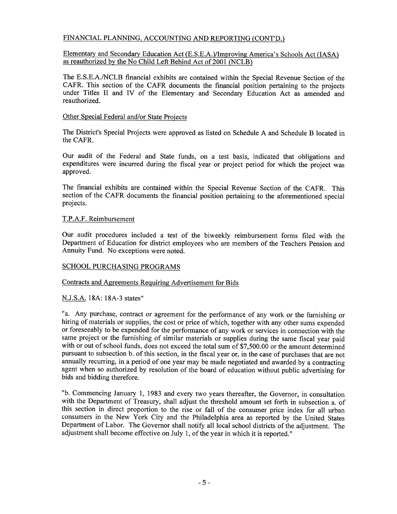# FINANCIAL PLANNING, ACCOUNTING AND REPORTING (CONT'D.)

#### Elementary and Secondary Education Act (E.S.E.A.)lImproving America's Schools Act (lASA) as reauthorized by the No Child Left Behind Act of 2001 (NCLB)

The E.S.E.A./NCLB financial exhibits are contained within the Special Revenue Section of the CAFR. This section of the CAFR documents the financial position pertaining to the projects under Titles II and IV of the Elementary and Secondary Education Act as amended and reauthorized.

#### Other Special Federal and/or State Projects

The District's Special Projects were approved as listed on Schedule A and Schedule B located in the CAFR.

Our audit of the Federal and State funds, on a test basis, indicated that obligations and expenditures were incurred during the fiscal year or project period for which the project was approved.

The financial exhibits are contained within the Special Revenue Section of the CAFR. This section of the CAFR documents the financial position pertaining to the aforementioned special projects.

# T.P.A.F. Reimbursement

Our audit procedures included a test of the biweekly reimbursement forms filed with the Department of Education for district employees who are members of the Teachers Pension and Annuity Fund. No exceptions were noted.

# SCHOOL PURCHASING PROGRAMS

# Contracts and Agreements Requiring Advertisement for Bids

# N.J.S.A. 18A: 18A-3 states"

"a. Any purchase, contract or agreement for the performance of any work or the furnishing or hiring of materials or supplies, the cost or price of which, together with any other sums expended or foreseeably to be expended for the performance of any work or services in connection with the same project or the furnishing of similar materials or supplies during the same fiscal year paid with or out of school funds, does not exceed the total sum of \$7,500.00 or the amount determined pursuant to subsection b. of this section, in the fiscal year or, in the case of purchases that are not annually recurring, in a period of one year may be made negotiated and awarded by a contracting agent when so authorized by resolution of the board of education without public advertising for bids and bidding therefore.

"b. Commencing January 1, 1983 and every two years thereafter, the Governor, in consultation with the Department of Treasury, shall adjust the threshold amount set forth in subsection a. of this section in direct proportion to the rise or fall of the consumer price index for all urban consumers in the New York City and the Philadelphia area as reported by the United States Department of Labor. The Governor shall notify all local school districts of the adjustment. The adjustment shall become effective on July 1, of the year in which it is reported."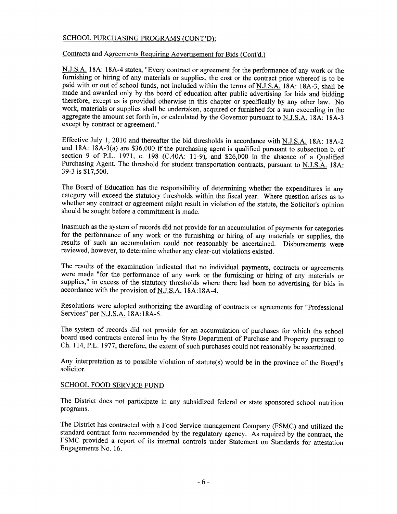# SCHOOL PURCHASING PROGRAMS (CONT'D):

#### Contracts and Agreements Requiring Advertisement for Bids (Cont'd.)

N.J.S.A. 18A: 18A-4 states, "Every contract or agreement for the performance of any work or the furnishing or hiring of any materials or supplies, the cost or the contract price whereof is to be paid with or out of school funds, not included within the terms of N.J.S.A. 18A: 18A-3, shall be made and awarded only by the board of education after public advertising for bids and bidding therefore, except as is provided otherwise in this chapter or specifically by any other law. No work, materials or supplies shall be undertaken, acquired or furnished for a sum exceeding in the aggregate the amount set forth in, or calculated by the Governor pursuant to N.J.S.A. 18A: 18A-3 except by contract or agreement. "

Effective July 1,2010 and thereafter the bid thresholds in accordance with N.J.S.A. 18A: 18A-2 and 18A: 18A-3(a) are \$36,000 if the purchasing agent is qualified pursuant to subsection b. of section 9 of P.L. 1971, c. 198 *(CAOA:* 11-9), and \$26,000 in the absence of a Qualified Purchasing Agent. The threshold for student transportation contracts, pursuant to N.J.S.A. 18A: 39-3 is \$17,500.

The Board of Education has the responsibility of determining whether the expenditures in any category will exceed the statutory thresholds within the fiscal year. Where question arises as to whether any contract or agreement might result in violation of the statute, the Solicitor's opinion should be sought before a commitment is made.

Inasmuch as the system of records did not provide for an accumulation of payments for categories for the performance of any work or the furnishing or hiring of any materials or supplies, the results of such an accumulation could not reasonably be ascertained. Disbursements were reviewed, however, to determine whether any clear-cut violations existed.

The results of the examination indicated that no individual payments, contracts or agreements were made "for the performance of any work or the furnishing or hiring of any materials or supplies," in excess of the statutory thresholds where there had been no advertising for bids in accordance with the provision of N.J.S.A. 18A:18A-4.

Resolutions were adopted authorizing the awarding of contracts or agreements for "Professional Services" per N.J.S.A. 18A:18A-5.

The system of records did not provide for an accumulation of purchases for which the school board used contracts entered into by the State Department of Purchase and Property pursuant to Ch. 114, P.L. 1977, therefore, the extent of such purchases could not reasonably be ascertained.

Any interpretation as to possible violation of statute(s) would be in the province of the Board's solicitor.

# SCHOOL FOOD SERVICE FUND

The District does not participate in any subsidized federal or state sponsored school nutrition programs.

The District has contracted with a Food Service management Company (FSMC) and utilized the standard contract form recommended by the regulatory agency. As required by the contract, the FSMC provided a report of its internal controls under Statement on Standards for attestation Engagements No. 16.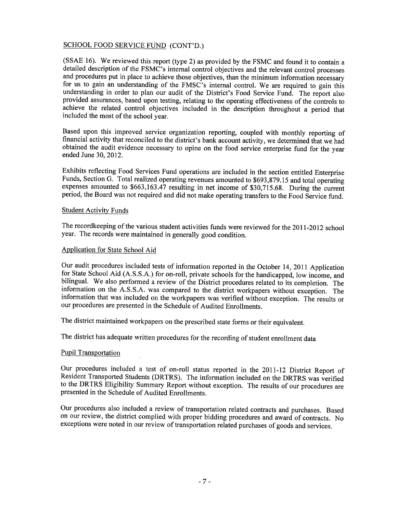# SCHOOL FOOD SERVICE FUND (CONT'D.)

(SSAE 16). We reviewed this report (type 2) as provided by the FSMC and found it to contain a detailed description of the FSMC's internal control objectives and the relevant control processes and procedures put in place to achieve those objectives, than the minimum information necessary for us to gain an understanding of the FMSC's internal control. We are required to gain this understanding in order to plan our audit of the District's Food Service Fund. The report also provided assurances, based upon testing, relating to the operating effectiveness of the controls to achieve the related control objectives included in the description throughout a period that included the most of the school year.

Based upon this improved service organization reporting, coupled with monthly reporting of financial activity that reconciled to the district's bank account activity, we determined that we had obtained the audit evidence necessary to opine on the food service enterprise fund for the year ended June 30, 2012.

Exhibits reflecting Food Services Fund operations are included in the section entitled Enterprise Funds, Section G. Total realized operating revenues amounted to \$693,879.15 and total operating expenses amounted to \$663,163.47 resulting in net income of \$30,715.68. During the current period, the Board was not required and did not make operating transfers to the Food Service fund.

#### Student Activity Funds

The recordkeeping of the various student activities funds were reviewed for the 2011-2012 school year. The records were maintained in generally good condition.

#### Application for State School Aid

Our audit procedures included tests of information reported in the October 14, 2011 Application for State School Aid (A.S.S.A.) for on-roll, private schools for the handicapped, low income, and bilingual. We also performed a review of the District procedures related to its completion. The information on the A.S.S.A. was compared to the district workpapers without exception. The information that was included on the workpapers was verified without exception. The results or our procedures are presented in the Schedule of Audited Enrollments.

The district maintained workpapers on the prescribed state forms or their equivalent.

The district has adequate written procedures for the recording of student enrollment data

# Pupil Transportation

Our procedures included a test of on-roll status reported in the 2011-12 District Report of Resident Transported Students (DRTRS). The information included on the DRTRS was verified to the DRTRS Eligibility Summary Report without exception. The results of our procedures are presented in the Schedule of Audited Enrollments.

Our procedures also included a review of transportation related contracts and purchases. Based on our review, the district complied with proper bidding procedures and award of contracts. No exceptions were noted in our review of transportation related purchases of goods and services.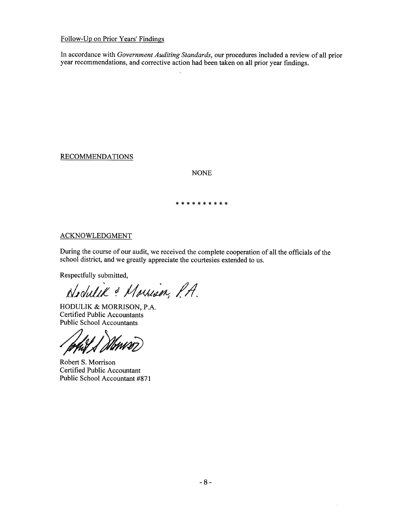# Follow-Up on Prior Years' Findings

In accordance with *Government Auditing Standards,* our procedures included a review of all prior year recommendations, and corrective action had been taken on all prior year findings.

**RECOMMENDATIONS** 

NONE

\*\*\*\*\*\*\*\*\*\*

# ACKNOWLEDGMENT

During the course of our audit, we received the complete cooperation of all the officials of the school district, and we greatly appreciate the courtesies extended to us.

Respectfully submitted,

*daluJd ~1f;I4M~ //1*

HODULIK & MORRISON, P.A. Certified Public Accountants Public School Accountants

Robert S. Morrison Certified Public Accountant Public School Accountant #871

 $\bar{z}$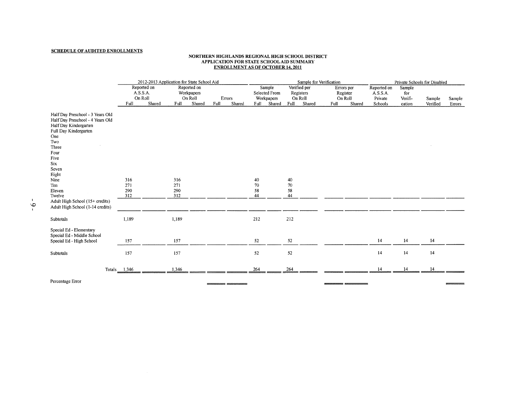#### NORTHERN HIGHLANDS REGIONAL HIGH SCHOOL DISTRICT APPLICATION FOR STATE SCHOOL AID SUMMARY ENROLLMENT AS OF OCTOBER 14. 2011

|                                                                                                                                                                                                                                                                                                  | 2012-2013 Application for State School Aid |             |                          |                                      |        |        |                      |                                       |                      | Sample for Verification   |      |                                   | Private Schools for Disabled       |                          |          |        |  |  |
|--------------------------------------------------------------------------------------------------------------------------------------------------------------------------------------------------------------------------------------------------------------------------------------------------|--------------------------------------------|-------------|--------------------------|--------------------------------------|--------|--------|----------------------|---------------------------------------|----------------------|---------------------------|------|-----------------------------------|------------------------------------|--------------------------|----------|--------|--|--|
|                                                                                                                                                                                                                                                                                                  | A.S.S.A.<br>On Roll                        | Reported on |                          | Reported on<br>Workpapers<br>On Roll | Errors |        |                      | Sample<br>Selected From<br>Workpapers | On Roll              | Verified per<br>Registers |      | Errors per<br>Register<br>On Roll | Reported on<br>A.S.S.A.<br>Private | Sample<br>for<br>Verifi- | Sample   | Sample |  |  |
|                                                                                                                                                                                                                                                                                                  | Full                                       | Shared      | Full                     | Shared                               | Full   | Shared | Full                 | Shared                                | Full                 | Shared                    | Full | Shared                            | Schools                            | cation                   | Verified | Errors |  |  |
| Half Day Preschool - 3 Years Old<br>Half Day Preschool - 4 Years Old<br>Half Day Kindergarten<br>Full Day Kindergarten<br>One<br>Two<br>Three<br>Four<br>Five<br>Six<br>Seven<br>Eight<br>Nine<br>Ten<br>Eleven<br>Twelve<br>Adult High School (15+ credits)<br>Adult High School (1-14 credits) | 316<br>271<br>290<br>312                   |             | 316<br>271<br>290<br>312 |                                      |        |        | 40<br>70<br>58<br>44 |                                       | 40<br>70<br>58<br>44 |                           |      |                                   |                                    |                          |          |        |  |  |
| Subtotals                                                                                                                                                                                                                                                                                        | 1,189                                      |             | 1,189                    |                                      |        |        | 212                  |                                       | 212                  |                           |      |                                   |                                    |                          |          |        |  |  |
| Special Ed - Elementary<br>Special Ed - Middle School<br>Special Ed - High School                                                                                                                                                                                                                | 157                                        |             | 157                      |                                      |        |        | 52                   |                                       | $52\,$               |                           |      |                                   | 14                                 | 14                       | 14       |        |  |  |
| Subtotals                                                                                                                                                                                                                                                                                        | 157                                        |             | 157                      |                                      |        |        | 52                   |                                       | 52                   |                           |      |                                   | 14                                 | 14                       | 14       |        |  |  |
|                                                                                                                                                                                                                                                                                                  | Totals $1,346$                             |             | 1,346                    |                                      |        |        | 264                  |                                       | 264                  |                           |      |                                   | 14                                 | 14                       | 14       |        |  |  |
| Percentage Error                                                                                                                                                                                                                                                                                 |                                            |             |                          |                                      |        |        |                      |                                       |                      |                           |      |                                   |                                    |                          |          |        |  |  |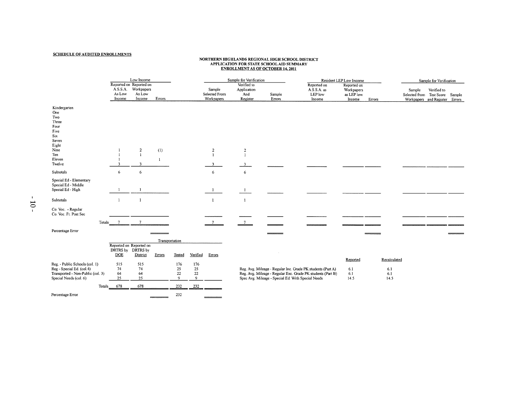#### SCHEDULE OF AUDITED ENROLLMENTS

 $\overline{a}$ 

 $\equiv$ 

# NORTHERN HIGHLANDS REGIONAL HIGH SCHOOL DISTRICT<br>APPLICATION FOR STATE SCHOOL AID SUMMARY<br>ENROLLMENT AS OF OCTOBER 14, 2011

|                                                                                                 |                                                                                                                            |                       | Low Income                                                         |                     |                                 |                          | Sample for Verification               |                                               |                                                    | Resident LEP Low Income                                                                                                    |                                                   | Sample for Verification            |                                                                             |             |  |
|-------------------------------------------------------------------------------------------------|----------------------------------------------------------------------------------------------------------------------------|-----------------------|--------------------------------------------------------------------|---------------------|---------------------------------|--------------------------|---------------------------------------|-----------------------------------------------|----------------------------------------------------|----------------------------------------------------------------------------------------------------------------------------|---------------------------------------------------|------------------------------------|-----------------------------------------------------------------------------|-------------|--|
|                                                                                                 |                                                                                                                            | As Low<br>Income      | Reported on Reported on<br>A.S.S.A. Workpapers<br>As Low<br>Income | Errors              |                                 |                          | Sample<br>Selected From<br>Workpapers | Verified to<br>Application<br>And<br>Register | Sample<br>Errors                                   | Reported on<br>A.S.S.A. as<br>LEP low<br>Income                                                                            | Reported on<br>Workpapers<br>as LEP low<br>Income | Errors                             | Sample<br>Selected from Test Score Sample<br>Workpapers and Register Errors | Verified to |  |
| One<br>Two<br>Three<br>Four<br>Five<br>Six<br>Seven<br>Eight<br>Nine<br>Ten<br>Eleven<br>Twelve | Kindergarten                                                                                                               |                       | $\overline{2}$<br>$\mathbf{1}$<br>3                                | (1)<br>$\mathbf{1}$ |                                 |                          | $\overline{c}$                        | $\overline{\mathbf{c}}$<br>$\overline{1}$     |                                                    |                                                                                                                            |                                                   |                                    |                                                                             |             |  |
| Subtotals                                                                                       |                                                                                                                            | 6                     | 6                                                                  |                     |                                 |                          | 6                                     | 6                                             |                                                    |                                                                                                                            |                                                   |                                    |                                                                             |             |  |
|                                                                                                 | Special Ed - Elementary<br>Special Ed - Middle<br>Special Ed - High                                                        |                       |                                                                    |                     |                                 |                          |                                       |                                               |                                                    |                                                                                                                            |                                                   |                                    |                                                                             |             |  |
| Subtotals                                                                                       |                                                                                                                            | $\mathbf{1}$          | $\mathbf{I}$                                                       |                     |                                 |                          | $\mathbf{I}$                          | $\mathbf{I}$                                  |                                                    |                                                                                                                            |                                                   |                                    |                                                                             |             |  |
| 5                                                                                               | Co. Voc. - Regular<br>Co. Voc. Ft. Post Sec                                                                                |                       |                                                                    |                     |                                 |                          |                                       |                                               |                                                    |                                                                                                                            |                                                   |                                    |                                                                             |             |  |
|                                                                                                 | Totals                                                                                                                     | $\overline{7}$        | -7                                                                 |                     |                                 |                          | 7                                     |                                               |                                                    |                                                                                                                            |                                                   |                                    |                                                                             |             |  |
|                                                                                                 | Percentage Error                                                                                                           |                       |                                                                    |                     |                                 |                          |                                       |                                               |                                                    |                                                                                                                            |                                                   |                                    |                                                                             |             |  |
|                                                                                                 |                                                                                                                            |                       |                                                                    | Transportation      |                                 |                          |                                       |                                               |                                                    |                                                                                                                            |                                                   |                                    |                                                                             |             |  |
|                                                                                                 |                                                                                                                            | <b>DOE</b>            | Reported on Reported on<br>DRTRS by DRTRS by<br>District           | Errors              | Tested                          | Verified                 | Errors                                |                                               |                                                    |                                                                                                                            |                                                   |                                    |                                                                             |             |  |
|                                                                                                 | Reg. - Public Schools (col. 1)<br>Reg - Special Ed. (col.4)<br>Transported - Non-Public (col. 3)<br>Special Needs (col. 6) | 515<br>74<br>64<br>25 | 515<br>74<br>64<br>25                                              |                     | 176<br>25<br>22<br>$\mathbf{Q}$ | 176<br>25<br>$22\,$<br>9 |                                       |                                               | Spec Avg. Mileage - Special Ed. With Special Needs | Reg. Avg. Mileage - Regular Inc. Grade PK students (Part A)<br>Reg. Avg. Mileage - Regular Exc. Grade PK students (Part B) | Reported<br>6.1<br>6.1<br>14.5                    | Recalculated<br>6.1<br>6.1<br>14.5 |                                                                             |             |  |
|                                                                                                 | Totals                                                                                                                     | 678                   | 678                                                                |                     | 232                             | 232                      |                                       |                                               |                                                    |                                                                                                                            |                                                   |                                    |                                                                             |             |  |
|                                                                                                 | Percentage Error                                                                                                           |                       |                                                                    |                     | 232                             |                          |                                       |                                               |                                                    |                                                                                                                            |                                                   |                                    |                                                                             |             |  |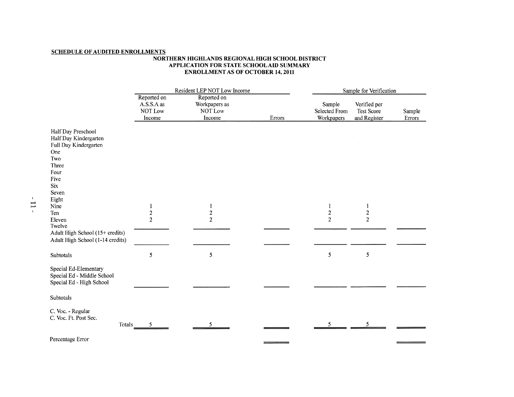#### **SCHEDULE OF AUDITED ENROLLMENTS**

#### **NORTHERN IllGHLANDS REGIONAL IllGH SCHOOL DISTRICT APPLICATION FOR STATE** SCHOOL AID **SUMMARY ENROLLMENT AS OF OCTOBER 14, 2011**

|                                                                                                                           |                                                           | Resident LEP NOT Low Income                       | Sample for Verification |                                                   |                                            |                  |  |  |  |
|---------------------------------------------------------------------------------------------------------------------------|-----------------------------------------------------------|---------------------------------------------------|-------------------------|---------------------------------------------------|--------------------------------------------|------------------|--|--|--|
|                                                                                                                           | Reported on<br>A.S.S.A as<br>NOT Low<br>Income            | Reported on<br>Workpapers as<br>NOT Low<br>Income | Errors                  | Sample<br>Selected From<br>Workpapers             | Verified per<br>Test Score<br>and Register | Sample<br>Errors |  |  |  |
| Half Day Preschool<br>Half Day Kindergarten<br>Full Day Kindergarten<br>One<br>Two<br>Three<br>Four<br>Five<br><b>Six</b> |                                                           |                                                   |                         |                                                   |                                            |                  |  |  |  |
| Seven<br>Eight<br>Nine<br>Ten<br>Eleven<br>Twelve<br>Adult High School (15+ credits)                                      | $\mathbf{1}$<br>$\overline{\mathbf{c}}$<br>$\overline{2}$ | 1<br>$\boldsymbol{2}$<br>$\overline{2}$           |                         | $\mathbf 1$<br>$\boldsymbol{2}$<br>$\overline{2}$ | 1<br>$\overline{c}$<br>$\overline{2}$      |                  |  |  |  |
| Adult High School (1-14 credits)<br>Subtotals                                                                             | 5                                                         | 5                                                 |                         | 5                                                 | 5                                          |                  |  |  |  |
| Special Ed-Elementary<br>Special Ed - Middle School<br>Special Ed - High School                                           |                                                           |                                                   |                         |                                                   |                                            |                  |  |  |  |
| Subtotals                                                                                                                 |                                                           |                                                   |                         |                                                   |                                            |                  |  |  |  |
| C. Voc. - Regular<br>C. Voc. Ft. Post Sec.<br>Totals                                                                      | 5                                                         |                                                   |                         | 5                                                 | 5                                          |                  |  |  |  |
| Percentage Error                                                                                                          |                                                           |                                                   |                         |                                                   |                                            |                  |  |  |  |

 $\overline{a}$  , and  $\overline{a}$  , and  $\overline{a}$  , and  $\overline{a}$  , and  $\overline{a}$  , and  $\overline{a}$ 

 $\frac{1}{2}$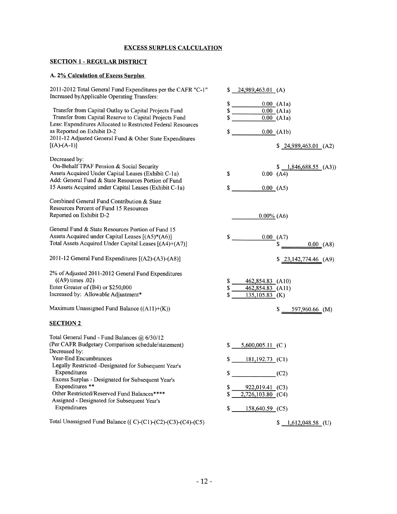# EXCESS SURPLUS CALCULATION

# SECTION 1 - REGULAR DISTRICT

# A. 2% Calculation of Excess Surplus

| 2011-2012 Total General Fund Expenditures per the CAFR "C-1"<br>Increased by Applicable Operating Transfers:           | \$<br>24,989,463.01 (A)  |                            |
|------------------------------------------------------------------------------------------------------------------------|--------------------------|----------------------------|
|                                                                                                                        | \$                       | $0.00$ (Ala)               |
| Transfer from Capital Outlay to Capital Projects Fund                                                                  | \$                       | 0.00(A1a)                  |
| Transfer from Capital Reserve to Capital Projects Fund<br>Less: Expenditures Allocated to Restricted Federal Resources | \$                       | $\overline{0.00}$ (Ala)    |
| as Reported on Exhibit D-2<br>2011-12 Adjusted General Fund & Other State Expenditures                                 | \$                       | $0.00$ (Alb)               |
| $[(A)-(A-1)]$                                                                                                          |                          | \$24,989,463.01 (A2)       |
| Decreased by:                                                                                                          |                          |                            |
| On-Behalf TPAF Pension & Social Security                                                                               |                          | $1,846,688.55$ (A3))       |
| Assets Acquired Under Capital Leases (Exhibit C-1a)<br>Add: General Fund & State Resources Portion of Fund             | \$                       | 0.00(A4)                   |
| 15 Assets Acquired under Capital Leases (Exhibit C-1a)                                                                 | \$                       | 0.00(A5)                   |
| Combined General Fund Contribution & State<br>Resources Percent of Fund 15 Resources                                   |                          |                            |
| Reported on Exhibit D-2                                                                                                | $0.00\%$ (A6)            |                            |
| General Fund & State Resources Portion of Fund 15                                                                      |                          |                            |
| Assets Acquired under Capital Leases [(A5)*(A6)]<br>Total Assets Acquired Under Capital Leases [(A4)+(A7)]             | \$                       | 0.00(A7)<br>\$<br>0.00(A8) |
| 2011-12 General Fund Expenditures [(A2)-(A3)-(A8)]                                                                     |                          | $$23,142,774.46$ (A9)      |
| 2% of Adjusted 2011-2012 General Fund Expenditures<br>((A9) times .02)                                                 | \$<br>462,854.83 (A10)   |                            |
| Enter Greater of (B4) or \$250,000                                                                                     | \$<br>462,854.83 (A11)   |                            |
| Increased by: Allowable Adjustment*                                                                                    | \$<br>$135,105.83$ (K)   |                            |
| Maximum Unassigned Fund Balance $((A11)+(K))$                                                                          |                          | 597,960.66 (M)<br>S.       |
| <b>SECTION 2</b>                                                                                                       |                          |                            |
| Total General Fund - Fund Balances @ 6/30/12                                                                           |                          |                            |
| (Per CAFR Budgetary Comparison schedule/statement)<br>Decreased by:                                                    | \$<br>$5,600,005.11$ (C) |                            |
| Year-End Encumbrances<br>Legally Restricted -Designated for Subsequent Year's                                          | \$<br>$181,192.73$ (C1)  |                            |
| Expenditures                                                                                                           | \$                       | (C2)                       |
| Excess Surplus - Designated for Subsequent Year's<br>Expenditures **                                                   | \$<br>922,019.41 (C3)    |                            |
| Other Restricted/Reserved Fund Balances****<br>Assigned - Designated for Subsequent Year's                             | \$<br>2,726,103.80 (C4)  |                            |
| Expenditures                                                                                                           | \$<br>158,640.59 (C5)    |                            |
| Total Unassigned Fund Balance (( $C$ )- $(C1)$ - $(C2)$ - $(C3)$ - $(C4)$ - $(C5)$                                     |                          | $$1,612,048.58$ (U)        |